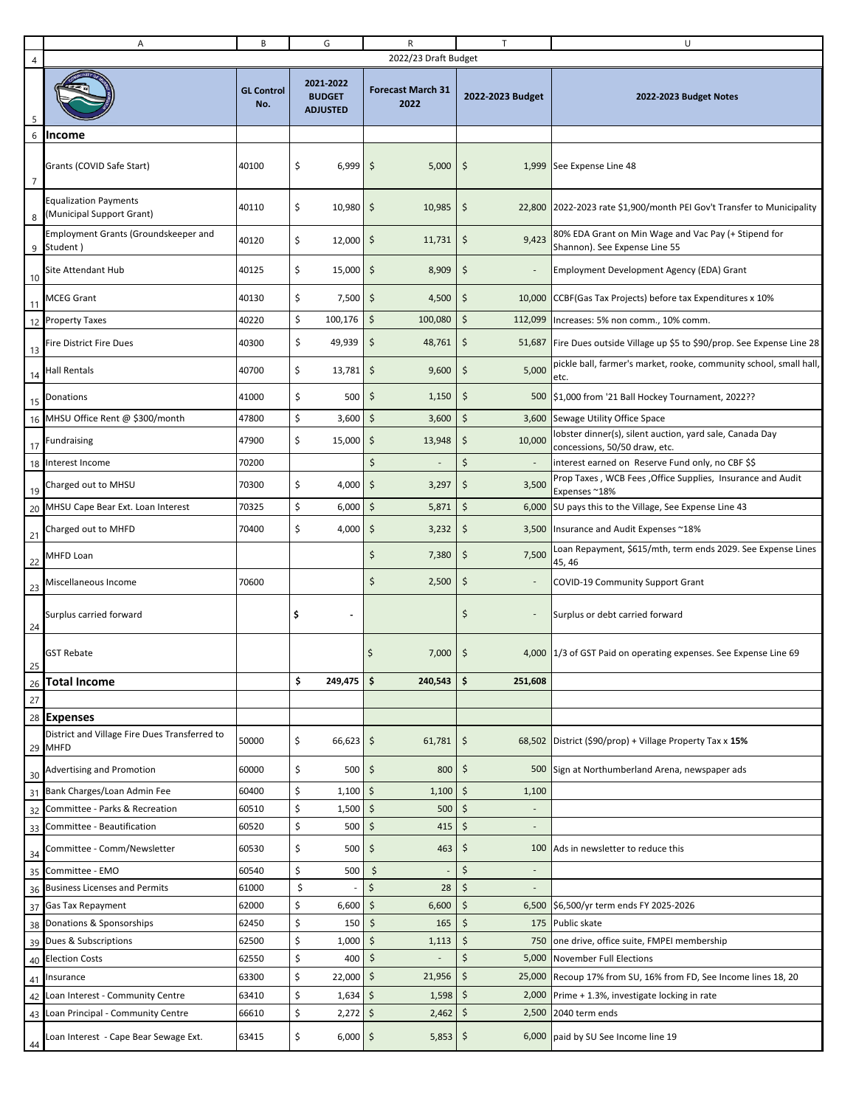|                | Α                                                         | B                        | G                                             | R                                | $\mathsf{T}$             | U                                                                                       |  |
|----------------|-----------------------------------------------------------|--------------------------|-----------------------------------------------|----------------------------------|--------------------------|-----------------------------------------------------------------------------------------|--|
| 4              |                                                           |                          |                                               | 2022/23 Draft Budget             |                          |                                                                                         |  |
|                |                                                           | <b>GL Control</b><br>No. | 2021-2022<br><b>BUDGET</b><br><b>ADJUSTED</b> | <b>Forecast March 31</b><br>2022 | 2022-2023 Budget         | 2022-2023 Budget Notes                                                                  |  |
| 6              | Income                                                    |                          |                                               |                                  |                          |                                                                                         |  |
| $\overline{7}$ | Grants (COVID Safe Start)                                 | 40100                    | \$<br>6,999                                   | \$<br>5,000                      | \$                       | 1,999 See Expense Line 48                                                               |  |
| 8              | <b>Equalization Payments</b><br>(Municipal Support Grant) | 40110                    | \$<br>10,980                                  | \$<br>10,985                     | \$                       | 22,800 2022-2023 rate \$1,900/month PEI Gov't Transfer to Municipality                  |  |
| 9              | Employment Grants (Groundskeeper and<br>Student)          | 40120                    | \$<br>12,000                                  | \$<br>11,731                     | 9,423<br>\$              | 80% EDA Grant on Min Wage and Vac Pay (+ Stipend for<br>Shannon). See Expense Line 55   |  |
| 10             | <b>Site Attendant Hub</b>                                 | 40125                    | \$<br>15,000                                  | \$<br>8,909                      | \$                       | Employment Development Agency (EDA) Grant                                               |  |
| 11             | <b>MCEG Grant</b>                                         | 40130                    | \$<br>7,500                                   | \$<br>4,500                      | \$                       | 10,000 CCBF (Gas Tax Projects) before tax Expenditures x 10%                            |  |
|                | 12 Property Taxes                                         | 40220                    | \$<br>100,176                                 | \$<br>100,080                    | \$<br>112,099            | Increases: 5% non comm., 10% comm.                                                      |  |
|                | Fire District Fire Dues                                   | 40300                    | \$<br>49,939                                  | \$<br>48,761                     | \$<br>51,687             | Fire Dues outside Village up \$5 to \$90/prop. See Expense Line 28                      |  |
| 13<br>14       | <b>Hall Rentals</b>                                       | 40700                    | \$<br>13,781                                  | \$<br>9,600                      | \$<br>5,000              | pickle ball, farmer's market, rooke, community school, small hall,                      |  |
|                |                                                           |                          | \$                                            |                                  |                          | etc.                                                                                    |  |
| 15             | Donations                                                 | 41000                    | 500                                           | \$<br>1,150                      | \$<br>500                | \$1,000 from '21 Ball Hockey Tournament, 2022??                                         |  |
| 16             | MHSU Office Rent @ \$300/month                            | 47800                    | \$<br>3,600                                   | \$<br>3,600                      | \$<br>3,600              | Sewage Utility Office Space<br>lobster dinner(s), silent auction, yard sale, Canada Day |  |
| 17             | Fundraising                                               | 47900                    | \$<br>15,000                                  | \$<br>13,948                     | \$<br>10,000             | concessions, 50/50 draw, etc.                                                           |  |
|                | 18 Interest Income                                        | 70200                    |                                               | \$<br>$\frac{1}{2}$              | \$                       | interest earned on Reserve Fund only, no CBF \$\$                                       |  |
| 19             | Charged out to MHSU                                       | 70300                    | \$<br>4,000                                   | \$<br>3,297                      | \$<br>3,500              | Prop Taxes, WCB Fees, Office Supplies, Insurance and Audit<br>Expenses ~18%             |  |
|                | 20 MHSU Cape Bear Ext. Loan Interest                      | 70325                    | \$<br>6,000                                   | \$<br>5,871                      | \$<br>6,000              | SU pays this to the Village, See Expense Line 43                                        |  |
| 21             | Charged out to MHFD                                       | 70400                    | \$<br>4,000                                   | \$<br>3,232                      | \$                       | 3,500 Insurance and Audit Expenses ~18%                                                 |  |
| 22             | MHFD Loan                                                 |                          |                                               | \$<br>7,380                      | \$<br>7,500              | Loan Repayment, \$615/mth, term ends 2029. See Expense Lines<br>45, 46                  |  |
| 23             | Miscellaneous Income                                      | 70600                    |                                               | \$<br>2,500                      | \$                       | COVID-19 Community Support Grant                                                        |  |
| 24             | Surplus carried forward                                   |                          | \$                                            |                                  | \$                       | Surplus or debt carried forward                                                         |  |
| 25             | <b>GST Rebate</b>                                         |                          |                                               | \$<br>7,000                      | \$                       | 4,000 1/3 of GST Paid on operating expenses. See Expense Line 69                        |  |
|                | 26 Total Income                                           |                          | \$<br>249,475                                 | \$<br>240,543                    | \$<br>251,608            |                                                                                         |  |
| 27             |                                                           |                          |                                               |                                  |                          |                                                                                         |  |
|                | 28 Expenses                                               |                          |                                               |                                  |                          |                                                                                         |  |
|                | District and Village Fire Dues Transferred to<br>29 MHFD  | 50000                    | \$<br>66,623                                  | \$<br>61,781                     | \$                       | 68,502 District (\$90/prop) + Village Property Tax x $15\%$                             |  |
| 30             | <b>Advertising and Promotion</b>                          | 60000                    | \$<br>500                                     | \$<br>800                        | \$                       | 500 Sign at Northumberland Arena, newspaper ads                                         |  |
| 31             | Bank Charges/Loan Admin Fee                               | 60400                    | \$<br>1,100                                   | \$<br>1,100                      | \$<br>1,100              |                                                                                         |  |
| 32             | Committee - Parks & Recreation                            | 60510                    | \$<br>1,500                                   | \$<br>500                        | \$                       |                                                                                         |  |
| 33             | Committee - Beautification                                | 60520                    | \$<br>500                                     | \$<br>415                        | \$                       |                                                                                         |  |
| 34             | Committee - Comm/Newsletter                               | 60530                    | \$<br>500                                     | \$<br>463                        | \$<br>100                | Ads in newsletter to reduce this                                                        |  |
| 35             | Committee - EMO                                           | 60540                    | \$<br>500                                     | \$                               | \$                       |                                                                                         |  |
| 36             | <b>Business Licenses and Permits</b>                      | 61000                    | \$                                            | \$<br>28                         | \$                       |                                                                                         |  |
|                | 37 Gas Tax Repayment                                      | 62000                    | \$<br>6,600<br>\$                             | \$<br>6,600<br>\$<br>165         | \$<br>6,500<br>\$<br>175 | \$6,500/yr term ends FY 2025-2026<br>Public skate                                       |  |
| 38             | Donations & Sponsorships<br>39 Dues & Subscriptions       | 62450<br>62500           | 150<br>\$<br>1,000                            | \$<br>1,113                      | \$<br>750                | one drive, office suite, FMPEI membership                                               |  |
|                | 40 Election Costs                                         | 62550                    | \$<br>400                                     | \$<br>$\overline{a}$             | Ś<br>5,000               | November Full Elections                                                                 |  |
|                | Insurance                                                 | 63300                    | \$<br>22,000                                  | \$<br>21,956                     | \$                       | 25,000 Recoup 17% from SU, 16% from FD, See Income lines 18, 20                         |  |
| 41<br>42       | Loan Interest - Community Centre                          | 63410                    | \$<br>$1,634$ \$                              | 1,598                            | \$<br>2,000              | Prime + 1.3%, investigate locking in rate                                               |  |
| 43             | Loan Principal - Community Centre                         | 66610                    | \$<br>$2,272$ \$                              | 2,462                            | \$<br>2,500              | 2040 term ends                                                                          |  |
| 44             | Loan Interest - Cape Bear Sewage Ext.                     | 63415                    | \$<br>$6,000$ \$                              | 5,853                            | \$                       | 6,000 paid by SU See Income line 19                                                     |  |